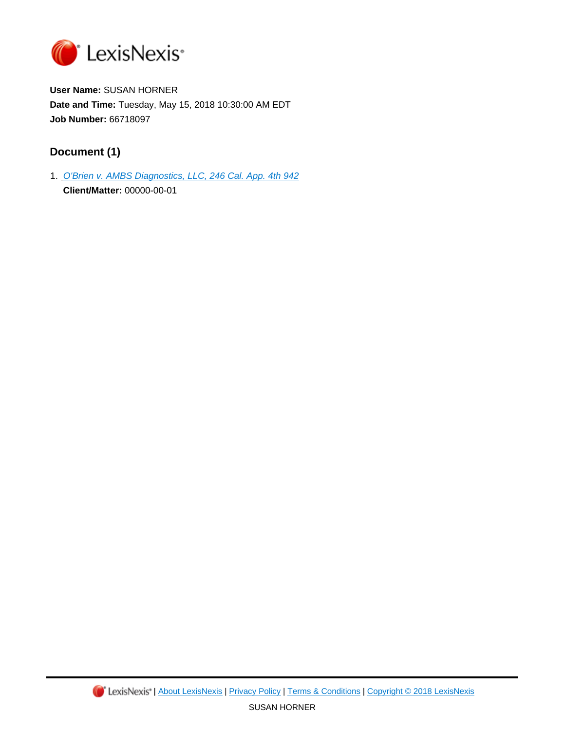

**User Name:** SUSAN HORNER **Date and Time:** Tuesday, May 15, 2018 10:30:00 AM EDT **Job Number:** 66718097

# **Document (1)**

1. [O'Brien v. AMBS Diagnostics, LLC, 246 Cal. App. 4th 942](https://advance.lexis.com/api/document?id=urn:contentItem:5JKF-MYS1-F04B-N18P-00000-00&idtype=PID&context=1000516) **Client/Matter:** 00000-00-01

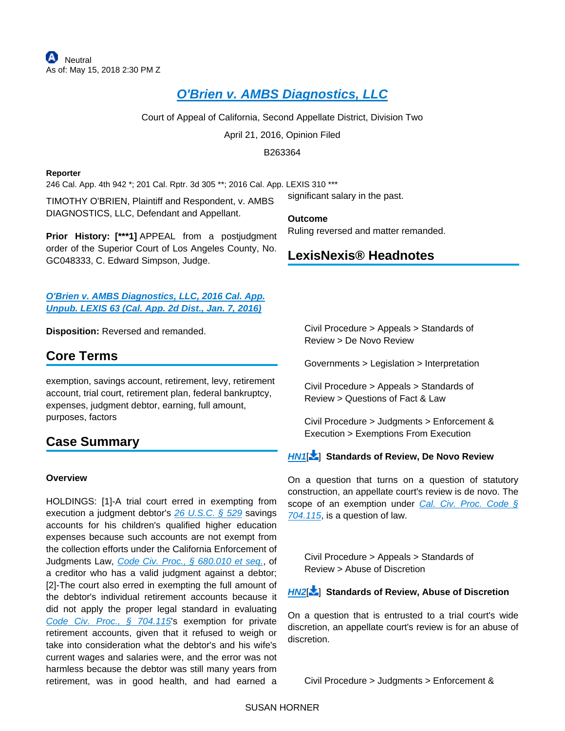# **[O'Brien v. AMBS Diagnostics, LLC](https://advance.lexis.com/api/document?collection=cases&id=urn:contentItem:5JKF-MYS1-F04B-N18P-00000-00&context=)**

Court of Appeal of California, Second Appellate District, Division Two

April 21, 2016, Opinion Filed

B263364

#### **Reporter**

246 Cal. App. 4th 942 \*; 201 Cal. Rptr. 3d 305 \*\*; 2016 Cal. App. LEXIS 310 \*\*\*

TIMOTHY O'BRIEN, Plaintiff and Respondent, v. AMBS DIAGNOSTICS, LLC, Defendant and Appellant.

**Prior History: [\*\*\*1]** APPEAL from a postjudgment order of the Superior Court of Los Angeles County, No. GC048333, C. Edward Simpson, Judge.

**[O'Brien v. AMBS Diagnostics, LLC, 2016 Cal. App.](https://advance.lexis.com/api/document?collection=cases&id=urn:contentItem:5HT2-PMH1-F04B-S1CV-00000-00&context=)  [Unpub. LEXIS 63 \(Cal. App. 2d Dist., Jan. 7, 2016\)](https://advance.lexis.com/api/document?collection=cases&id=urn:contentItem:5HT2-PMH1-F04B-S1CV-00000-00&context=)**

**Disposition:** Reversed and remanded.

# **Core Terms**

exemption, savings account, retirement, levy, retirement account, trial court, retirement plan, federal bankruptcy, expenses, judgment debtor, earning, full amount, purposes, factors

# **Case Summary**

### **Overview**

HOLDINGS: [1]-A trial court erred in exempting from execution a judgment debtor's [26 U.S.C. § 529](https://advance.lexis.com/api/document?collection=statutes-legislation&id=urn:contentItem:4YF7-GKT1-NRF4-43D0-00000-00&context=) savings accounts for his children's qualified higher education expenses because such accounts are not exempt from the collection efforts under the California Enforcement of Judgments Law, [Code Civ. Proc., § 680.010 et seq.](https://advance.lexis.com/api/document?collection=statutes-legislation&id=urn:contentItem:5J6R-DJX1-66B9-853V-00000-00&context=), of a creditor who has a valid judgment against a debtor; [2]-The court also erred in exempting the full amount of the debtor's individual retirement accounts because it did not apply the proper legal standard in evaluating Code Civ. Proc.,  $\frac{6}{5}$  704.115's exemption for private retirement accounts, given that it refused to weigh or take into consideration what the debtor's and his wife's current wages and salaries were, and the error was not harmless because the debtor was still many years from retirement, was in good health, and had earned a significant salary in the past.

**Outcome** Ruling reversed and matter remanded.

# **LexisNexis® Headnotes**

Civil Procedure > Appeals > Standards of Review > De Novo Review

Governments > Legislation > Interpretation

Civil Procedure > Appeals > Standards of Review > Questions of Fact & Law

Civil Procedure > Judgments > Enforcement & Execution > Exemptions From Execution

### **[HN1](https://advance.lexis.com/api/document?collection=cases&id=urn:contentItem:5JKF-MYS1-F04B-N18P-00000-00&context=&link=LNHNREFclscc1)**[ ] **Standards of Review, De Novo Review**

On a question that turns on a question of statutory construction, an appellate court's review is de novo. The scope of an exemption under Cal. Civ. Proc. Code  $\sqrt{S}$ [704.115](https://advance.lexis.com/api/document?collection=statutes-legislation&id=urn:contentItem:5J6R-D7P1-66B9-80WW-00000-00&context=), is a question of law.

<span id="page-1-0"></span>Civil Procedure > Appeals > Standards of Review > Abuse of Discretion

### **[HN2](https://advance.lexis.com/api/document?collection=cases&id=urn:contentItem:5JKF-MYS1-F04B-N18P-00000-00&context=&link=LNHNREFclscc2)**[ ] **Standards of Review, Abuse of Discretion**

On a question that is entrusted to a trial court's wide discretion, an appellate court's review is for an abuse of discretion.

Civil Procedure > Judgments > Enforcement &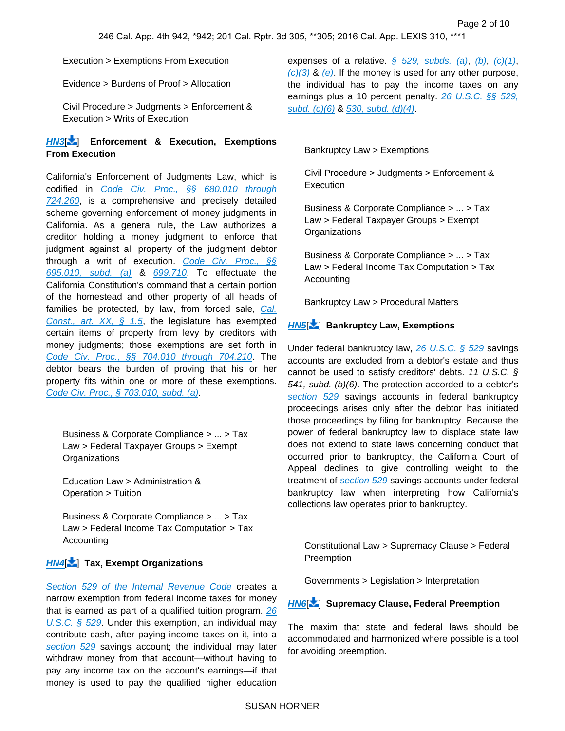Execution > Exemptions From Execution

Evidence > Burdens of Proof > Allocation

Civil Procedure > Judgments > Enforcement & Execution > Writs of Execution

### **[HN3](https://advance.lexis.com/api/document?collection=cases&id=urn:contentItem:5JKF-MYS1-F04B-N18P-00000-00&context=&link=LNHNREFclscc3)**[ ] **Enforcement & Execution, Exemptions From Execution**

California's Enforcement of Judgments Law, which is codified in [Code Civ. Proc., §§ 680.010 through](https://advance.lexis.com/api/document?collection=statutes-legislation&id=urn:contentItem:5J6R-DJX1-66B9-853V-00000-00&context=)  [724.260](https://advance.lexis.com/api/document?collection=statutes-legislation&id=urn:contentItem:5J6R-DJX1-66B9-853V-00000-00&context=), is a comprehensive and precisely detailed scheme governing enforcement of money judgments in California. As a general rule, the Law authorizes a creditor holding a money judgment to enforce that judgment against all property of the judgment debtor through a writ of execution. [Code Civ. Proc., §§](https://advance.lexis.com/api/document?collection=statutes-legislation&id=urn:contentItem:5J6R-D7P1-66B9-80CJ-00000-00&context=)  [695.010, subd. \(a\)](https://advance.lexis.com/api/document?collection=statutes-legislation&id=urn:contentItem:5J6R-D7P1-66B9-80CJ-00000-00&context=) & [699.710](https://advance.lexis.com/api/document?collection=statutes-legislation&id=urn:contentItem:5J6R-D7P1-66B9-80KH-00000-00&context=). To effectuate the California Constitution's command that a certain portion of the homestead and other property of all heads of families be protected, by law, from forced sale, Cal. Const., art.  $XX$ ,  $\frac{6}{9}$  1.5, the legislature has exempted certain items of property from levy by creditors with money judgments; those exemptions are set forth in [Code Civ. Proc., §§ 704.010 through 704.210](https://advance.lexis.com/api/document?collection=statutes-legislation&id=urn:contentItem:5J6R-D7P1-66B9-80VY-00000-00&context=). The debtor bears the burden of proving that his or her property fits within one or more of these exemptions. [Code Civ. Proc., § 703.010, subd. \(a\)](https://advance.lexis.com/api/document?collection=statutes-legislation&id=urn:contentItem:5J6R-D7P1-66B9-80SM-00000-00&context=).

Business & Corporate Compliance > ... > Tax Law > Federal Taxpayer Groups > Exempt **Organizations** 

Education Law > Administration & Operation > Tuition

Business & Corporate Compliance > ... > Tax Law > Federal Income Tax Computation > Tax Accounting

## **[HN4](https://advance.lexis.com/api/document?collection=cases&id=urn:contentItem:5JKF-MYS1-F04B-N18P-00000-00&context=&link=LNHNREFclscc4)**[ ] **Tax, Exempt Organizations**

[Section 529 of the Internal Revenue Code](https://advance.lexis.com/api/document?collection=statutes-legislation&id=urn:contentItem:4YF7-GKT1-NRF4-43D0-00000-00&context=) creates a narrow exemption from federal income taxes for money that is earned as part of a qualified tuition program. [26](https://advance.lexis.com/api/document?collection=statutes-legislation&id=urn:contentItem:4YF7-GKT1-NRF4-43D0-00000-00&context=)  [U.S.C. § 529](https://advance.lexis.com/api/document?collection=statutes-legislation&id=urn:contentItem:4YF7-GKT1-NRF4-43D0-00000-00&context=). Under this exemption, an individual may contribute cash, after paying income taxes on it, into a [section 529](https://advance.lexis.com/api/document?collection=statutes-legislation&id=urn:contentItem:4YF7-GKT1-NRF4-43D0-00000-00&context=) savings account; the individual may later withdraw money from that account—without having to pay any income tax on the account's earnings—if that money is used to pay the qualified higher education expenses of a relative.  $\frac{6}{5}$  529, subds. (a), [\(b\)](https://advance.lexis.com/api/document?collection=statutes-legislation&id=urn:contentItem:4YF7-GKT1-NRF4-43D0-00000-00&context=), [\(c\)\(1\)](https://advance.lexis.com/api/document?collection=statutes-legislation&id=urn:contentItem:4YF7-GKT1-NRF4-43D0-00000-00&context=),  $(c)(3)$  &  $(e)$ . If the money is used for any other purpose, the individual has to pay the income taxes on any earnings plus a 10 percent penalty. 26 U.S.C. §§ 529, [subd. \(c\)\(6\)](https://advance.lexis.com/api/document?collection=statutes-legislation&id=urn:contentItem:4YF7-GKT1-NRF4-43D0-00000-00&context=) & [530, subd. \(d\)\(4\)](https://advance.lexis.com/api/document?collection=statutes-legislation&id=urn:contentItem:4YF7-GPS1-NRF4-41CJ-00000-00&context=).

#### <span id="page-2-0"></span>Bankruptcy Law > Exemptions

Civil Procedure > Judgments > Enforcement & Execution

Business & Corporate Compliance > ... > Tax Law > Federal Taxpayer Groups > Exempt **Organizations** 

Business & Corporate Compliance > ... > Tax Law > Federal Income Tax Computation > Tax Accounting

Bankruptcy Law > Procedural Matters

## **[HN5](https://advance.lexis.com/api/document?collection=cases&id=urn:contentItem:5JKF-MYS1-F04B-N18P-00000-00&context=&link=LNHNREFclscc5)**[ ] **Bankruptcy Law, Exemptions**

Under federal bankruptcy law, [26 U.S.C. § 529](https://advance.lexis.com/api/document?collection=statutes-legislation&id=urn:contentItem:4YF7-GKT1-NRF4-43D0-00000-00&context=) savings accounts are excluded from a debtor's estate and thus cannot be used to satisfy creditors' debts. 11 U.S.C. § 541, subd. (b)(6). The protection accorded to a debtor's [section 529](https://advance.lexis.com/api/document?collection=statutes-legislation&id=urn:contentItem:4YF7-GKT1-NRF4-43D0-00000-00&context=) savings accounts in federal bankruptcy proceedings arises only after the debtor has initiated those proceedings by filing for bankruptcy. Because the power of federal bankruptcy law to displace state law does not extend to state laws concerning conduct that occurred prior to bankruptcy, the California Court of Appeal declines to give controlling weight to the treatment of [section 529](https://advance.lexis.com/api/document?collection=statutes-legislation&id=urn:contentItem:4YF7-GKT1-NRF4-43D0-00000-00&context=) savings accounts under federal bankruptcy law when interpreting how California's collections law operates prior to bankruptcy.

<span id="page-2-1"></span>Constitutional Law > Supremacy Clause > Federal **Preemption** 

Governments > Legislation > Interpretation

### **[HN6](https://advance.lexis.com/api/document?collection=cases&id=urn:contentItem:5JKF-MYS1-F04B-N18P-00000-00&context=&link=LNHNREFclscc6)**[ ] **Supremacy Clause, Federal Preemption**

The maxim that state and federal laws should be accommodated and harmonized where possible is a tool for avoiding preemption.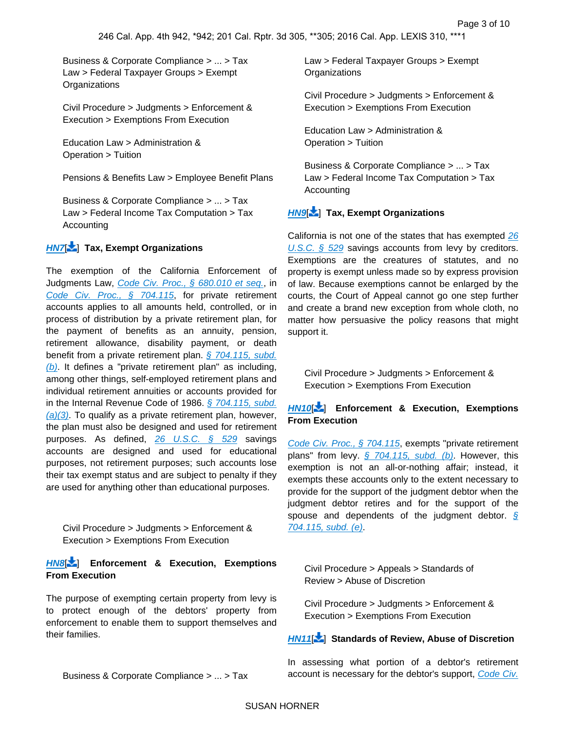Business & Corporate Compliance > ... > Tax Law > Federal Taxpayer Groups > Exempt **Organizations** 

Civil Procedure > Judgments > Enforcement & Execution > Exemptions From Execution

Education Law > Administration & Operation > Tuition

Pensions & Benefits Law > Employee Benefit Plans

Business & Corporate Compliance > ... > Tax Law > Federal Income Tax Computation > Tax Accounting

## **[HN7](https://advance.lexis.com/api/document?collection=cases&id=urn:contentItem:5JKF-MYS1-F04B-N18P-00000-00&context=&link=LNHNREFclscc7)**[ ] **Tax, Exempt Organizations**

The exemption of the California Enforcement of Judgments Law, [Code Civ. Proc., § 680.010 et seq.](https://advance.lexis.com/api/document?collection=statutes-legislation&id=urn:contentItem:5J6R-DJX1-66B9-853V-00000-00&context=), in [Code Civ. Proc., § 704.115](https://advance.lexis.com/api/document?collection=statutes-legislation&id=urn:contentItem:5J6R-D7P1-66B9-80WW-00000-00&context=), for private retirement accounts applies to all amounts held, controlled, or in process of distribution by a private retirement plan, for the payment of benefits as an annuity, pension, retirement allowance, disability payment, or death benefit from a private retirement plan. [§ 704.115, subd.](https://advance.lexis.com/api/document?collection=statutes-legislation&id=urn:contentItem:5J6R-D7P1-66B9-80WW-00000-00&context=)   $(b)$ . It defines a "private retirement plan" as including, among other things, self-employed retirement plans and individual retirement annuities or accounts provided for in the Internal Revenue Code of 1986. § 704.115, subd.  $(a)(3)$ . To qualify as a private retirement plan, however, the plan must also be designed and used for retirement purposes. As defined, [26 U.S.C. § 529](https://advance.lexis.com/api/document?collection=statutes-legislation&id=urn:contentItem:4YF7-GKT1-NRF4-43D0-00000-00&context=) savings accounts are designed and used for educational purposes, not retirement purposes; such accounts lose their tax exempt status and are subject to penalty if they are used for anything other than educational purposes.

<span id="page-3-0"></span>Civil Procedure > Judgments > Enforcement & Execution > Exemptions From Execution

### **[HN8](https://advance.lexis.com/api/document?collection=cases&id=urn:contentItem:5JKF-MYS1-F04B-N18P-00000-00&context=&link=LNHNREFclscc8)**[ ] **Enforcement & Execution, Exemptions From Execution**

The purpose of exempting certain property from levy is to protect enough of the debtors' property from enforcement to enable them to support themselves and their families.

Law > Federal Taxpayer Groups > Exempt **Organizations** 

Civil Procedure > Judgments > Enforcement & Execution > Exemptions From Execution

Education Law > Administration & Operation > Tuition

Business & Corporate Compliance > ... > Tax Law > Federal Income Tax Computation > Tax Accounting

## **[HN9](https://advance.lexis.com/api/document?collection=cases&id=urn:contentItem:5JKF-MYS1-F04B-N18P-00000-00&context=&link=LNHNREFclscc9)**[ ] **Tax, Exempt Organizations**

California is not one of the states that has exempted 26 [U.S.C. § 529](https://advance.lexis.com/api/document?collection=statutes-legislation&id=urn:contentItem:4YF7-GKT1-NRF4-43D0-00000-00&context=) savings accounts from levy by creditors. Exemptions are the creatures of statutes, and no property is exempt unless made so by express provision of law. Because exemptions cannot be enlarged by the courts, the Court of Appeal cannot go one step further and create a brand new exception from whole cloth, no matter how persuasive the policy reasons that might support it.

Civil Procedure > Judgments > Enforcement & Execution > Exemptions From Execution

### **[HN10](https://advance.lexis.com/api/document?collection=cases&id=urn:contentItem:5JKF-MYS1-F04B-N18P-00000-00&context=&link=LNHNREFclscc10)**[\[](#page-9-0) ] **Enforcement & Execution, Exemptions From Execution**

[Code Civ. Proc., § 704.115](https://advance.lexis.com/api/document?collection=statutes-legislation&id=urn:contentItem:5J6R-D7P1-66B9-80WW-00000-00&context=), exempts "private retirement plans" from levy.  $\frac{6}{9}$  704.115, subd. (b). However, this exemption is not an all-or-nothing affair; instead, it exempts these accounts only to the extent necessary to provide for the support of the judgment debtor when the judgment debtor retires and for the support of the spouse and dependents of the judgment debtor.  $\frac{1}{2}$ [704.115, subd. \(e\)](https://advance.lexis.com/api/document?collection=statutes-legislation&id=urn:contentItem:5J6R-D7P1-66B9-80WW-00000-00&context=).

<span id="page-3-1"></span>Civil Procedure > Appeals > Standards of Review > Abuse of Discretion

Civil Procedure > Judgments > Enforcement & Execution > Exemptions From Execution

### **[HN11](https://advance.lexis.com/api/document?collection=cases&id=urn:contentItem:5JKF-MYS1-F04B-N18P-00000-00&context=&link=LNHNREFclscc11)**[\[](#page-9-1) ] **Standards of Review, Abuse of Discretion**

In assessing what portion of a debtor's retirement account is necessary for the debtor's support, Code Civ.

Business & Corporate Compliance > ... > Tax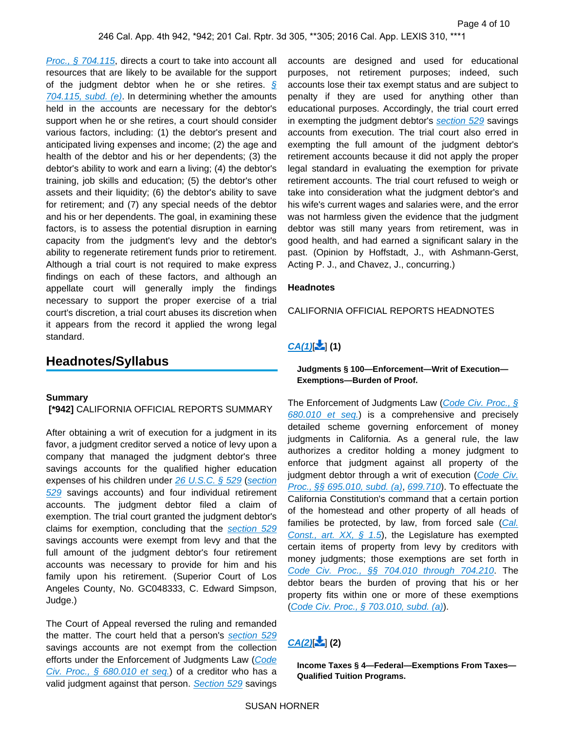[Proc., § 704.115](https://advance.lexis.com/api/document?collection=statutes-legislation&id=urn:contentItem:5J6R-D7P1-66B9-80WW-00000-00&context=), directs a court to take into account all resources that are likely to be available for the support of the judgment debtor when he or she retires.  $\sqrt{s}$  $704.115$ , subd. (e). In determining whether the amounts held in the accounts are necessary for the debtor's support when he or she retires, a court should consider various factors, including: (1) the debtor's present and anticipated living expenses and income; (2) the age and health of the debtor and his or her dependents; (3) the debtor's ability to work and earn a living; (4) the debtor's training, job skills and education; (5) the debtor's other assets and their liquidity; (6) the debtor's ability to save for retirement; and (7) any special needs of the debtor and his or her dependents. The goal, in examining these factors, is to assess the potential disruption in earning capacity from the judgment's levy and the debtor's ability to regenerate retirement funds prior to retirement. Although a trial court is not required to make express findings on each of these factors, and although an appellate court will generally imply the findings necessary to support the proper exercise of a trial court's discretion, a trial court abuses its discretion when it appears from the record it applied the wrong legal standard.

## **Headnotes/Syllabus**

### **Summary**

#### **[\*942]** CALIFORNIA OFFICIAL REPORTS SUMMARY

After obtaining a writ of execution for a judgment in its favor, a judgment creditor served a notice of levy upon a company that managed the judgment debtor's three savings accounts for the qualified higher education expenses of his children under [26 U.S.C. § 529](https://advance.lexis.com/api/document?collection=statutes-legislation&id=urn:contentItem:4YF7-GKT1-NRF4-43D0-00000-00&context=) (section [529](https://advance.lexis.com/api/document?collection=statutes-legislation&id=urn:contentItem:4YF7-GKT1-NRF4-43D0-00000-00&context=) savings accounts) and four individual retirement accounts. The judgment debtor filed a claim of exemption. The trial court granted the judgment debtor's claims for exemption, concluding that the [section 529](https://advance.lexis.com/api/document?collection=statutes-legislation&id=urn:contentItem:4YF7-GKT1-NRF4-43D0-00000-00&context=) savings accounts were exempt from levy and that the full amount of the judgment debtor's four retirement accounts was necessary to provide for him and his family upon his retirement. (Superior Court of Los Angeles County, No. GC048333, C. Edward Simpson, Judge.)

The Court of Appeal reversed the ruling and remanded the matter. The court held that a person's [section 529](https://advance.lexis.com/api/document?collection=statutes-legislation&id=urn:contentItem:4YF7-GKT1-NRF4-43D0-00000-00&context=) savings accounts are not exempt from the collection efforts under the Enforcement of Judgments Law (Code [Civ. Proc., § 680.010 et seq.](https://advance.lexis.com/api/document?collection=statutes-legislation&id=urn:contentItem:5J6R-DJX1-66B9-853V-00000-00&context=)) of a creditor who has a valid judgment against that person. [Section 529](https://advance.lexis.com/api/document?collection=statutes-legislation&id=urn:contentItem:4YF7-GKT1-NRF4-43D0-00000-00&context=) savings accounts are designed and used for educational purposes, not retirement purposes; indeed, such accounts lose their tax exempt status and are subject to penalty if they are used for anything other than educational purposes. Accordingly, the trial court erred in exempting the judgment debtor's [section 529](https://advance.lexis.com/api/document?collection=statutes-legislation&id=urn:contentItem:4YF7-GKT1-NRF4-43D0-00000-00&context=) savings accounts from execution. The trial court also erred in exempting the full amount of the judgment debtor's retirement accounts because it did not apply the proper legal standard in evaluating the exemption for private retirement accounts. The trial court refused to weigh or take into consideration what the judgment debtor's and his wife's current wages and salaries were, and the error was not harmless given the evidence that the judgment debtor was still many years from retirement, was in good health, and had earned a significant salary in the past. (Opinion by Hoffstadt, J., with Ashmann-Gerst, Acting P. J., and Chavez, J., concurring.)

#### **Headnotes**

CALIFORNIA OFFICIAL REPORTS HEADNOTES

## <span id="page-4-0"></span> $CA(1)[\n\cdot]$  $CA(1)[\n\cdot]$  $CA(1)[\n\cdot]$   $(1)$

**Judgments § 100—Enforcement—Writ of Execution— Exemptions—Burden of Proof.**

The Enforcement of Judgments Law (Code Civ. Proc., § [680.010 et seq.](https://advance.lexis.com/api/document?collection=statutes-legislation&id=urn:contentItem:5J6R-DJX1-66B9-853V-00000-00&context=)) is a comprehensive and precisely detailed scheme governing enforcement of money judgments in California. As a general rule, the law authorizes a creditor holding a money judgment to enforce that judgment against all property of the judgment debtor through a writ of execution (Code Civ. [Proc., §§ 695.010, subd. \(a\)](https://advance.lexis.com/api/document?collection=statutes-legislation&id=urn:contentItem:5J6R-D7P1-66B9-80CJ-00000-00&context=), [699.710](https://advance.lexis.com/api/document?collection=statutes-legislation&id=urn:contentItem:5J6R-D7P1-66B9-80KH-00000-00&context=)). To effectuate the California Constitution's command that a certain portion of the homestead and other property of all heads of families be protected, by law, from forced sale (Cal. Const., art.  $XX$ , § 1.5), the Legislature has exempted certain items of property from levy by creditors with money judgments; those exemptions are set forth in [Code Civ. Proc., §§ 704.010 through 704.210](https://advance.lexis.com/api/document?collection=statutes-legislation&id=urn:contentItem:5J6R-D7P1-66B9-80VY-00000-00&context=). The debtor bears the burden of proving that his or her property fits within one or more of these exemptions ([Code Civ. Proc., § 703.010, subd. \(a\)](https://advance.lexis.com/api/document?collection=statutes-legislation&id=urn:contentItem:5J6R-D7P1-66B9-80SM-00000-00&context=)).

## <span id="page-4-1"></span> $CA(2)[2]$  $CA(2)[2]$  $CA(2)[2]$   $(2)$

**Income Taxes § 4—Federal—Exemptions From Taxes— Qualified Tuition Programs.**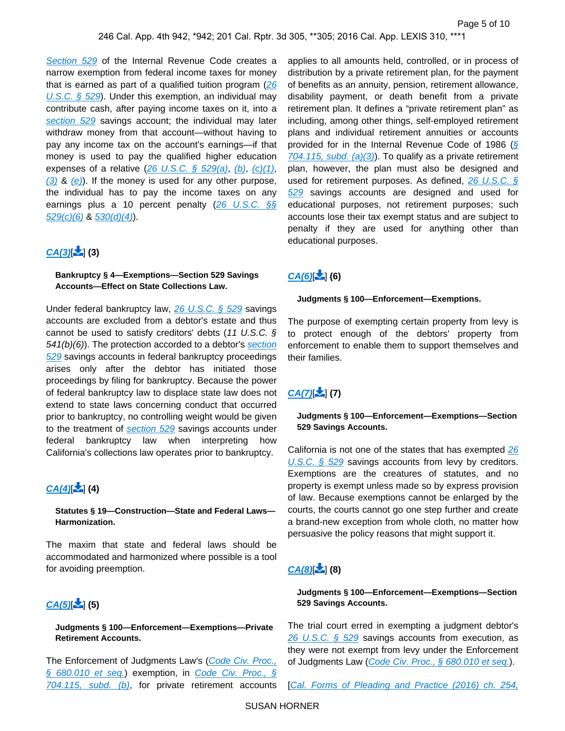[Section 529](https://advance.lexis.com/api/document?collection=statutes-legislation&id=urn:contentItem:4YF7-GKT1-NRF4-43D0-00000-00&context=) of the Internal Revenue Code creates a narrow exemption from federal income taxes for money that is earned as part of a qualified tuition program  $(26)$ U.S.C.  $\S$  529). Under this exemption, an individual may contribute cash, after paying income taxes on it, into a [section 529](https://advance.lexis.com/api/document?collection=statutes-legislation&id=urn:contentItem:4YF7-GKT1-NRF4-43D0-00000-00&context=) savings account; the individual may later withdraw money from that account—without having to pay any income tax on the account's earnings—if that money is used to pay the qualified higher education expenses of a relative  $(26 \text{ U.S.C. } \S$  529(a), [\(b\)](https://advance.lexis.com/api/document?collection=statutes-legislation&id=urn:contentItem:4YF7-GKT1-NRF4-43D0-00000-00&context=), [\(c\)\(1\)](https://advance.lexis.com/api/document?collection=statutes-legislation&id=urn:contentItem:4YF7-GKT1-NRF4-43D0-00000-00&context=),  $(3)$  &  $(e)$ ). If the money is used for any other purpose, the individual has to pay the income taxes on any earnings plus a 10 percent penalty  $(26 \text{ U.S.C. } \S\S)$  $529(c)(6)$  &  $530(d)(4)$ .

## <span id="page-5-0"></span> $CA(3)$ **[\[](#page-8-0)** $\ge$ ] (3)

### **Bankruptcy § 4—Exemptions—Section 529 Savings Accounts—Effect on State Collections Law.**

Under federal bankruptcy law, [26 U.S.C. § 529](https://advance.lexis.com/api/document?collection=statutes-legislation&id=urn:contentItem:4YF7-GKT1-NRF4-43D0-00000-00&context=) savings accounts are excluded from a debtor's estate and thus cannot be used to satisfy creditors' debts  $(11 \text{ U.S.C. } \S)$ 541(b)(6)). The protection accorded to a debtor's section [529](https://advance.lexis.com/api/document?collection=statutes-legislation&id=urn:contentItem:4YF7-GKT1-NRF4-43D0-00000-00&context=) savings accounts in federal bankruptcy proceedings arises only after the debtor has initiated those proceedings by filing for bankruptcy. Because the power of federal bankruptcy law to displace state law does not extend to state laws concerning conduct that occurred prior to bankruptcy, no controlling weight would be given to the treatment of [section 529](https://advance.lexis.com/api/document?collection=statutes-legislation&id=urn:contentItem:4YF7-GKT1-NRF4-43D0-00000-00&context=) savings accounts under federal bankruptcy law when interpreting how California's collections law operates prior to bankruptcy.

## <span id="page-5-1"></span> $CA(4)$ **[\[](#page-8-1)**  $\le$ <sup>1</sup> $(4)$

#### **Statutes § 19—Construction—State and Federal Laws— Harmonization.**

The maxim that state and federal laws should be accommodated and harmonized where possible is a tool for avoiding preemption.

## <span id="page-5-2"></span> $CA(5)$ **[\[](#page-8-2)** $\ge$ ] (5)

### **Judgments § 100—Enforcement—Exemptions—Private Retirement Accounts.**

The Enforcement of Judgments Law's (Code Civ. Proc., [§ 680.010 et seq.](https://advance.lexis.com/api/document?collection=statutes-legislation&id=urn:contentItem:5J6R-DJX1-66B9-853V-00000-00&context=)) exemption, in Code Civ. Proc., § [704.115, subd. \(b\)](https://advance.lexis.com/api/document?collection=statutes-legislation&id=urn:contentItem:5J6R-D7P1-66B9-80WW-00000-00&context=), for private retirement accounts

applies to all amounts held, controlled, or in process of distribution by a private retirement plan, for the payment of benefits as an annuity, pension, retirement allowance, disability payment, or death benefit from a private retirement plan. It defines a "private retirement plan" as including, among other things, self-employed retirement plans and individual retirement annuities or accounts provided for in the Internal Revenue Code of 1986 ([§](https://advance.lexis.com/api/document?collection=statutes-legislation&id=urn:contentItem:5J6R-D7P1-66B9-80WW-00000-00&context=)   $704.115$ , subd. (a)(3). To qualify as a private retirement plan, however, the plan must also be designed and used for retirement purposes. As defined,  $26 \text{ U.S.C.}$  § [529](https://advance.lexis.com/api/document?collection=statutes-legislation&id=urn:contentItem:4YF7-GKT1-NRF4-43D0-00000-00&context=) savings accounts are designed and used for educational purposes, not retirement purposes; such accounts lose their tax exempt status and are subject to penalty if they are used for anything other than educational purposes.

# <span id="page-5-3"></span> $CA(6)[2]$  $CA(6)[2]$  $CA(6)[2]$  (6)

#### **Judgments § 100—Enforcement—Exemptions.**

The purpose of exempting certain property from levy is to protect enough of the debtors' property from enforcement to enable them to support themselves and their families.

## $CA(7)$ **[\[](#page-9-2)** $\ge$ <sup>1</sup> $(7)$

### **Judgments § 100—Enforcement—Exemptions—Section 529 Savings Accounts.**

California is not one of the states that has exempted 26 [U.S.C. § 529](https://advance.lexis.com/api/document?collection=statutes-legislation&id=urn:contentItem:4YF7-GKT1-NRF4-43D0-00000-00&context=) savings accounts from levy by creditors. Exemptions are the creatures of statutes, and no property is exempt unless made so by express provision of law. Because exemptions cannot be enlarged by the courts, the courts cannot go one step further and create a brand-new exception from whole cloth, no matter how persuasive the policy reasons that might support it.

## <span id="page-5-4"></span> $CA(8)[2]$  $CA(8)[2]$  $CA(8)[2]$  (8)

### **Judgments § 100—Enforcement—Exemptions—Section 529 Savings Accounts.**

The trial court erred in exempting a judgment debtor's 26 U.S.C.  $\frac{6}{529}$  savings accounts from execution, as they were not exempt from levy under the Enforcement of Judgments Law ([Code Civ. Proc., § 680.010 et seq.](https://advance.lexis.com/api/document?collection=statutes-legislation&id=urn:contentItem:5J6R-DJX1-66B9-853V-00000-00&context=)).

[Cal. Forms of Pleading and Practice (2016) ch. 254,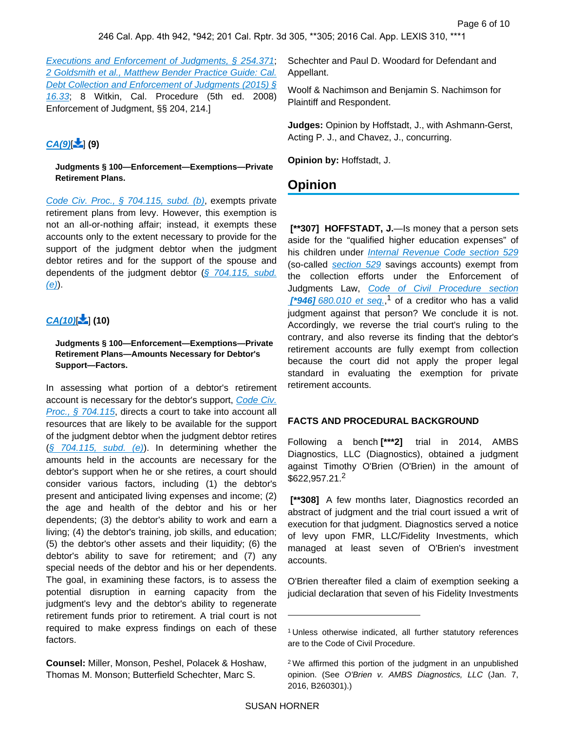[Executions and Enforcement of Judgments, § 254.371](https://advance.lexis.com/api/document?collection=analytical-materials&id=urn:contentItem:51R0-5HK0-R03J-R1XP-00000-00&context=); [2 Goldsmith et al., Matthew Bender Practice Guide: Cal.](https://advance.lexis.com/api/document?collection=analytical-materials&id=urn:contentItem:5N6H-WW10-R03N-J1MS-00000-00&context=)  [Debt Collection and Enforcement of Judgments \(2015\) §](https://advance.lexis.com/api/document?collection=analytical-materials&id=urn:contentItem:5N6H-WW10-R03N-J1MS-00000-00&context=)  [16.33](https://advance.lexis.com/api/document?collection=analytical-materials&id=urn:contentItem:5N6H-WW10-R03N-J1MS-00000-00&context=); 8 Witkin, Cal. Procedure (5th ed. 2008) Enforcement of Judgment, §§ 204, 214.]

## <span id="page-6-0"></span> $CA(9)$  $\leq 1$  (9)

**Judgments § 100—Enforcement—Exemptions—Private Retirement Plans.**

[Code Civ. Proc., § 704.115, subd. \(b\)](https://advance.lexis.com/api/document?collection=statutes-legislation&id=urn:contentItem:5J6R-D7P1-66B9-80WW-00000-00&context=), exempts private retirement plans from levy. However, this exemption is not an all-or-nothing affair; instead, it exempts these accounts only to the extent necessary to provide for the support of the judgment debtor when the judgment debtor retires and for the support of the spouse and dependents of the judgment debtor  $(\S$  704.115, subd.  $(e)$ ).

# $CA(10)$  $\cdot$  $(10)$

**Judgments § 100—Enforcement—Exemptions—Private Retirement Plans—Amounts Necessary for Debtor's Support—Factors.**

In assessing what portion of a debtor's retirement account is necessary for the debtor's support, Code Civ. [Proc., § 704.115](https://advance.lexis.com/api/document?collection=statutes-legislation&id=urn:contentItem:5J6R-D7P1-66B9-80WW-00000-00&context=), directs a court to take into account all resources that are likely to be available for the support of the judgment debtor when the judgment debtor retires  $(\S$  704.115, subd. (e)). In determining whether the amounts held in the accounts are necessary for the debtor's support when he or she retires, a court should consider various factors, including (1) the debtor's present and anticipated living expenses and income; (2) the age and health of the debtor and his or her dependents; (3) the debtor's ability to work and earn a living; (4) the debtor's training, job skills, and education; (5) the debtor's other assets and their liquidity; (6) the debtor's ability to save for retirement; and (7) any special needs of the debtor and his or her dependents. The goal, in examining these factors, is to assess the potential disruption in earning capacity from the judgment's levy and the debtor's ability to regenerate retirement funds prior to retirement. A trial court is not required to make express findings on each of these factors.

**Counsel:** Miller, Monson, Peshel, Polacek & Hoshaw, Thomas M. Monson; Butterfield Schechter, Marc S.

Schechter and Paul D. Woodard for Defendant and Appellant.

Woolf & Nachimson and Benjamin S. Nachimson for Plaintiff and Respondent.

**Judges:** Opinion by Hoffstadt, J., with Ashmann-Gerst, Acting P. J., and Chavez, J., concurring.

**Opinion by:** Hoffstadt, J.

# **Opinion**

 **[\*\*307] HOFFSTADT, J.**—Is money that a person sets aside for the "qualified higher education expenses" of his children under *[Internal Revenue Code section 529](https://advance.lexis.com/api/document?collection=statutes-legislation&id=urn:contentItem:4YF7-GKT1-NRF4-43D0-00000-00&context=)* (so-called [section 529](https://advance.lexis.com/api/document?collection=statutes-legislation&id=urn:contentItem:4YF7-GKT1-NRF4-43D0-00000-00&context=) savings accounts) exempt from the collection efforts under the Enforcement of Judgments Law, Code of Civil Procedure section **[\*946]** [680.010 et seq.](https://advance.lexis.com/api/document?collection=statutes-legislation&id=urn:contentItem:5J6R-DJX1-66B9-853V-00000-00&context=),<sup>1</sup> of a creditor who has a valid judgment against that person? We conclude it is not. Accordingly, we reverse the trial court's ruling to the contrary, and also reverse its finding that the debtor's retirement accounts are fully exempt from collection because the court did not apply the proper legal standard in evaluating the exemption for private retirement accounts.

### **FACTS AND PROCEDURAL BACKGROUND**

Following a bench **[\*\*\*2]** trial in 2014, AMBS Diagnostics, LLC (Diagnostics), obtained a judgment against Timothy O'Brien (O'Brien) in the amount of  $$622.957.21<sup>2</sup>$ 

 **[\*\*308]** A few months later, Diagnostics recorded an abstract of judgment and the trial court issued a writ of execution for that judgment. Diagnostics served a notice of levy upon FMR, LLC/Fidelity Investments, which managed at least seven of O'Brien's investment accounts.

O'Brien thereafter filed a claim of exemption seeking a judicial declaration that seven of his Fidelity Investments

<sup>1</sup>Unless otherwise indicated, all further statutory references are to the Code of Civil Procedure.

<sup>2</sup>We affirmed this portion of the judgment in an unpublished opinion. (See O'Brien v. AMBS Diagnostics, LLC (Jan. 7, 2016, B260301).)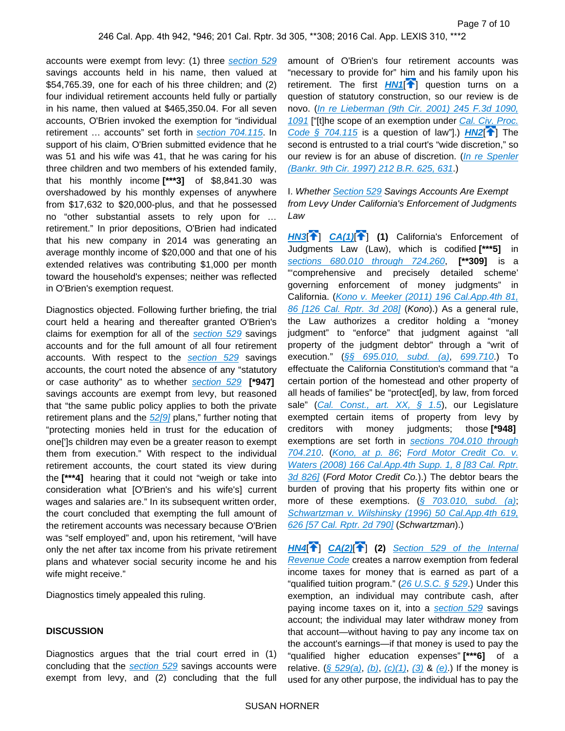accounts were exempt from levy: (1) three [section 529](https://advance.lexis.com/api/document?collection=statutes-legislation&id=urn:contentItem:4YF7-GKT1-NRF4-43D0-00000-00&context=) savings accounts held in his name, then valued at \$54,765.39, one for each of his three children; and (2) four individual retirement accounts held fully or partially in his name, then valued at \$465,350.04. For all seven accounts, O'Brien invoked the exemption for "individual retirement ... accounts" set forth in [section 704.115](https://advance.lexis.com/api/document?collection=statutes-legislation&id=urn:contentItem:5J6R-D7P1-66B9-80WW-00000-00&context=). In support of his claim, O'Brien submitted evidence that he was 51 and his wife was 41, that he was caring for his three children and two members of his extended family, that his monthly income **[\*\*\*3]** of \$8,841.30 was overshadowed by his monthly expenses of anywhere from \$17,632 to \$20,000-plus, and that he possessed no "other substantial assets to rely upon for … retirement." In prior depositions, O'Brien had indicated that his new company in 2014 was generating an average monthly income of \$20,000 and that one of his extended relatives was contributing \$1,000 per month toward the household's expenses; neither was reflected in O'Brien's exemption request.

Diagnostics objected. Following further briefing, the trial court held a hearing and thereafter granted O'Brien's claims for exemption for all of the [section 529](https://advance.lexis.com/api/document?collection=statutes-legislation&id=urn:contentItem:4YF7-GKT1-NRF4-43D0-00000-00&context=) savings accounts and for the full amount of all four retirement accounts. With respect to the [section 529](https://advance.lexis.com/api/document?collection=statutes-legislation&id=urn:contentItem:4YF7-GKT1-NRF4-43D0-00000-00&context=) savings accounts, the court noted the absence of any "statutory or case authority" as to whether [section 529](https://advance.lexis.com/api/document?collection=statutes-legislation&id=urn:contentItem:4YF7-GKT1-NRF4-43D0-00000-00&context=) **[\*947]**  savings accounts are exempt from levy, but reasoned that "the same public policy applies to both the private retirement plans and the  $52[9]$  plans," further noting that "protecting monies held in trust for the education of one[']s children may even be a greater reason to exempt them from execution." With respect to the individual retirement accounts, the court stated its view during the **[\*\*\*4]** hearing that it could not "weigh or take into consideration what [O'Brien's and his wife's] current wages and salaries are." In its subsequent written order, the court concluded that exempting the full amount of the retirement accounts was necessary because O'Brien was "self employed" and, upon his retirement, "will have only the net after tax income from his private retirement plans and whatever social security income he and his wife might receive."

Diagnostics timely appealed this ruling.

### **DISCUSSION**

Diagnostics argues that the trial court erred in (1) concluding that the [section 529](https://advance.lexis.com/api/document?collection=statutes-legislation&id=urn:contentItem:4YF7-GKT1-NRF4-43D0-00000-00&context=) savings accounts were exempt from levy, and (2) concluding that the full amount of O'Brien's four retirement accounts was "necessary to provide for" him and his family upon his retirement. The first  $HNI$ <sup> $\uparrow$ </sup>] question turns on a question of statutory construction, so our review is de novo. ([In re Lieberman \(9th Cir. 2001\) 245 F.3d 1090,](https://advance.lexis.com/api/document?collection=cases&id=urn:contentItem:42TJ-B420-0038-X4B5-00000-00&context=)  [1091](https://advance.lexis.com/api/document?collection=cases&id=urn:contentItem:42TJ-B420-0038-X4B5-00000-00&context=) ["[t]he scope of an exemption under Cal. Civ. Proc. Code  $\frac{2}{3}$  704.115 is a question of law"].) **[HN2](https://advance.lexis.com/api/document?collection=cases&id=urn:contentItem:5JKF-MYS1-F04B-N18P-00000-00&context=&link=clscc2)**<sup>[\[](#page-1-0)14]</sup> The second is entrusted to a trial court's "wide discretion," so our review is for an abuse of discretion. (*In re Spenler* [\(Bankr. 9th Cir. 1997\) 212 B.R. 625, 631](https://advance.lexis.com/api/document?collection=cases&id=urn:contentItem:3RY5-2YC0-003B-X12X-00000-00&context=).)

I. Whether [Section 529](https://advance.lexis.com/api/document?collection=statutes-legislation&id=urn:contentItem:4YF7-GKT1-NRF4-43D0-00000-00&context=) Savings Accounts Are Exempt from Levy Under California's Enforcement of Judgments Law

<span id="page-7-0"></span>**[HN3](https://advance.lexis.com/api/document?collection=cases&id=urn:contentItem:5JKF-MYS1-F04B-N18P-00000-00&context=&link=clscc3)**[ ] **[CA\(1\)](https://advance.lexis.com/api/document?collection=cases&id=urn:contentItem:5JKF-MYS1-F04B-N18P-00000-00&context=&link=CA96)**[\[](#page-4-0) ] **(1)** California's Enforcement of Judgments Law (Law), which is codified **[\*\*\*5]** in [sections 680.010 through 724.260](https://advance.lexis.com/api/document?collection=statutes-legislation&id=urn:contentItem:5J6R-DJX1-66B9-853V-00000-00&context=), **[\*\*309]** is a "'comprehensive and precisely detailed scheme' governing enforcement of money judgments" in California. ([Kono v. Meeker \(2011\) 196 Cal.App.4th 81,](https://advance.lexis.com/api/document?collection=cases&id=urn:contentItem:5311-6NX1-F04B-N39Y-00000-00&context=)  [86 \[126 Cal. Rptr. 3d 208\]](https://advance.lexis.com/api/document?collection=cases&id=urn:contentItem:5311-6NX1-F04B-N39Y-00000-00&context=) (Kono).) As a general rule, the Law authorizes a creditor holding a "money judgment" to "enforce" that judgment against "all property of the judgment debtor" through a "writ of execution." ([§§ 695.010, subd. \(a\)](https://advance.lexis.com/api/document?collection=statutes-legislation&id=urn:contentItem:5J6R-D7P1-66B9-80CJ-00000-00&context=), [699.710](https://advance.lexis.com/api/document?collection=statutes-legislation&id=urn:contentItem:5J6R-D7P1-66B9-80KH-00000-00&context=).) To effectuate the California Constitution's command that "a certain portion of the homestead and other property of all heads of families" be "protect[ed], by law, from forced sale" ([Cal. Const., art. XX, § 1.5](https://advance.lexis.com/api/document?collection=statutes-legislation&id=urn:contentItem:5JBS-1821-DXC8-223T-00000-00&context=)), our Legislature exempted certain items of property from levy by creditors with money judgments; those **[\*948]**  exemptions are set forth in sections 704.010 through [704.210](https://advance.lexis.com/api/document?collection=statutes-legislation&id=urn:contentItem:5J6R-D7P1-66B9-80VY-00000-00&context=). ([Kono, at p. 86](https://advance.lexis.com/api/document?collection=cases&id=urn:contentItem:5311-6NX1-F04B-N39Y-00000-00&context=); [Ford Motor Credit Co. v.](https://advance.lexis.com/api/document?collection=cases&id=urn:contentItem:4THT-76Y0-TX4N-G1M6-00000-00&context=)  [Waters \(2008\) 166 Cal.App.4th Supp. 1, 8 \[83 Cal. Rptr.](https://advance.lexis.com/api/document?collection=cases&id=urn:contentItem:4THT-76Y0-TX4N-G1M6-00000-00&context=)  [3d 826\]](https://advance.lexis.com/api/document?collection=cases&id=urn:contentItem:4THT-76Y0-TX4N-G1M6-00000-00&context=) (Ford Motor Credit Co.).) The debtor bears the burden of proving that his property fits within one or more of these exemptions.  $(\S$  703.010, subd. (a); Schwartzman v. Wilshinsky (1996) 50 Cal. App. 4th 619, [626 \[57 Cal. Rptr. 2d 790\]](https://advance.lexis.com/api/document?collection=cases&id=urn:contentItem:3RX6-F480-003D-J2F2-00000-00&context=) (Schwartzman).)

<span id="page-7-1"></span>**[HN4](https://advance.lexis.com/api/document?collection=cases&id=urn:contentItem:5JKF-MYS1-F04B-N18P-00000-00&context=&link=clscc4)**[ ] **[CA\(2\)](https://advance.lexis.com/api/document?collection=cases&id=urn:contentItem:5JKF-MYS1-F04B-N18P-00000-00&context=&link=CA98)**[ [\]](#page-4-1) **(2)** [Section 529 of the Internal](https://advance.lexis.com/api/document?collection=statutes-legislation&id=urn:contentItem:4YF7-GKT1-NRF4-43D0-00000-00&context=)  [Revenue Code](https://advance.lexis.com/api/document?collection=statutes-legislation&id=urn:contentItem:4YF7-GKT1-NRF4-43D0-00000-00&context=) creates a narrow exemption from federal income taxes for money that is earned as part of a "qualified tuition program."  $(26 \text{ U.S.C.} \S 529)$  Under this exemption, an individual may contribute cash, after paying income taxes on it, into a [section 529](https://advance.lexis.com/api/document?collection=statutes-legislation&id=urn:contentItem:4YF7-GKT1-NRF4-43D0-00000-00&context=) savings account; the individual may later withdraw money from that account—without having to pay any income tax on the account's earnings—if that money is used to pay the "qualified higher education expenses" **[\*\*\*6]** of a relative.  $(\frac{5}{529(a)}, (b), (c)(1), (3)$  $(\frac{5}{529(a)}, (b), (c)(1), (3)$  $(\frac{5}{529(a)}, (b), (c)(1), (3)$  $(\frac{5}{529(a)}, (b), (c)(1), (3)$  $(\frac{5}{529(a)}, (b), (c)(1), (3)$  $(\frac{5}{529(a)}, (b), (c)(1), (3)$  &  $(e)$ .) If the money is used for any other purpose, the individual has to pay the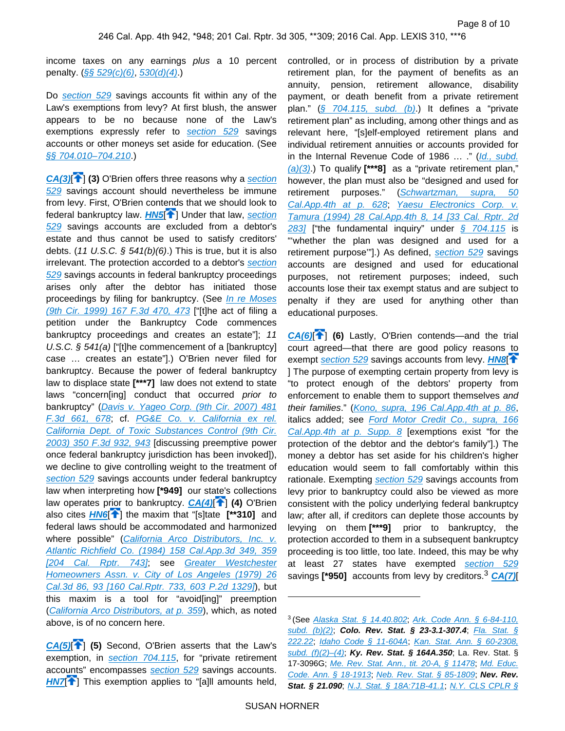income taxes on any earnings plus a 10 percent penalty.  $(\frac{6}{5} 529(c)(6), 530(d)(4))$  $(\frac{6}{5} 529(c)(6), 530(d)(4))$  $(\frac{6}{5} 529(c)(6), 530(d)(4))$ 

Do [section 529](https://advance.lexis.com/api/document?collection=statutes-legislation&id=urn:contentItem:4YF7-GKT1-NRF4-43D0-00000-00&context=) savings accounts fit within any of the Law's exemptions from levy? At first blush, the answer appears to be no because none of the Law's exemptions expressly refer to [section 529](https://advance.lexis.com/api/document?collection=statutes-legislation&id=urn:contentItem:4YF7-GKT1-NRF4-43D0-00000-00&context=) savings accounts or other moneys set aside for education. (See [§§ 704.010–704.210](https://advance.lexis.com/api/document?collection=statutes-legislation&id=urn:contentItem:5J6R-D7P1-66B9-80VY-00000-00&context=).)

<span id="page-8-0"></span>**[CA\(3\)](https://advance.lexis.com/api/document?collection=cases&id=urn:contentItem:5JKF-MYS1-F04B-N18P-00000-00&context=&link=CA103)** <sup>1</sup> **(3)** O'Brien offers three reasons why a section [529](https://advance.lexis.com/api/document?collection=statutes-legislation&id=urn:contentItem:4YF7-GKT1-NRF4-43D0-00000-00&context=) savings account should nevertheless be immune from levy. First, O'Brien contends that we should look to federal bankruptcy law. **[HN5](https://advance.lexis.com/api/document?collection=cases&id=urn:contentItem:5JKF-MYS1-F04B-N18P-00000-00&context=&link=clscc5)<sup>[4[\]](#page-2-0)</sup>]** Under that law, section [529](https://advance.lexis.com/api/document?collection=statutes-legislation&id=urn:contentItem:4YF7-GKT1-NRF4-43D0-00000-00&context=) savings accounts are excluded from a debtor's estate and thus cannot be used to satisfy creditors' debts. (11 U.S.C.  $\frac{541(b)}{6}$ ). This is true, but it is also irrelevant. The protection accorded to a debtor's section [529](https://advance.lexis.com/api/document?collection=statutes-legislation&id=urn:contentItem:4YF7-GKT1-NRF4-43D0-00000-00&context=) savings accounts in federal bankruptcy proceedings arises only after the debtor has initiated those proceedings by filing for bankruptcy. (See In re Moses [\(9th Cir. 1999\) 167 F.3d 470, 473](https://advance.lexis.com/api/document?collection=cases&id=urn:contentItem:3VN7-Y070-0038-X2NY-00000-00&context=) ["[t]he act of filing a petition under the Bankruptcy Code commences bankruptcy proceedings and creates an estate"]; 11 U.S.C.  $\S$  541(a) ["[t]he commencement of a [bankruptcy] case … creates an estate"].) O'Brien never filed for bankruptcy. Because the power of federal bankruptcy law to displace state **[\*\*\*7]** law does not extend to state laws "concern[ing] conduct that occurred prior to bankruptcy" ([Davis v. Yageo Corp. \(9th Cir. 2007\) 481](https://advance.lexis.com/api/document?collection=cases&id=urn:contentItem:4N5N-HC10-0038-X19P-00000-00&context=)  [F.3d 661, 678](https://advance.lexis.com/api/document?collection=cases&id=urn:contentItem:4N5N-HC10-0038-X19P-00000-00&context=); cf. [PG&E Co. v. California ex rel.](https://advance.lexis.com/api/document?collection=cases&id=urn:contentItem:4B20-D490-0038-X274-00000-00&context=)  [California Dept. of Toxic Substances Control \(9th Cir.](https://advance.lexis.com/api/document?collection=cases&id=urn:contentItem:4B20-D490-0038-X274-00000-00&context=)  [2003\) 350 F.3d 932, 943](https://advance.lexis.com/api/document?collection=cases&id=urn:contentItem:4B20-D490-0038-X274-00000-00&context=) [discussing preemptive power once federal bankruptcy jurisdiction has been invoked]), we decline to give controlling weight to the treatment of [section 529](https://advance.lexis.com/api/document?collection=statutes-legislation&id=urn:contentItem:4YF7-GKT1-NRF4-43D0-00000-00&context=) savings accounts under federal bankruptcy law when interpreting how **[\*949]** our state's collections law operates prior to bankruptcy. **[CA\(4\)](https://advance.lexis.com/api/document?collection=cases&id=urn:contentItem:5JKF-MYS1-F04B-N18P-00000-00&context=&link=CA108)**[\[](#page-5-1) ] **(4)** O'Brien also cites **[HN6](https://advance.lexis.com/api/document?collection=cases&id=urn:contentItem:5JKF-MYS1-F04B-N18P-00000-00&context=&link=clscc6)<sup>[\[](#page-2-1)4</sup>]** the maxim that "[s]tate [\*\*310] and federal laws should be accommodated and harmonized where possible" (California Arco Distributors, Inc. v. [Atlantic Richfield Co. \(1984\) 158 Cal.App.3d 349, 359](https://advance.lexis.com/api/document?collection=cases&id=urn:contentItem:3RX6-KW30-003D-J1D0-00000-00&context=)  [\[204 Cal. Rptr. 743\]](https://advance.lexis.com/api/document?collection=cases&id=urn:contentItem:3RX6-KW30-003D-J1D0-00000-00&context=), see Greater Westchester [Homeowners Assn. v. City of Los Angeles \(1979\) 26](https://advance.lexis.com/api/document?collection=cases&id=urn:contentItem:3S11-S0J0-003C-R0N5-00000-00&context=)  [Cal.3d 86, 93 \[160 Cal.Rptr. 733, 603 P.2d 1329\]](https://advance.lexis.com/api/document?collection=cases&id=urn:contentItem:3S11-S0J0-003C-R0N5-00000-00&context=)), but this maxim is a tool for "avoid[ing]" preemption ([California Arco Distributors, at p. 359](https://advance.lexis.com/api/document?collection=cases&id=urn:contentItem:3RX6-KW30-003D-J1D0-00000-00&context=)), which, as noted above, is of no concern here.

<span id="page-8-2"></span>**[CA\(5\)](https://advance.lexis.com/api/document?collection=cases&id=urn:contentItem:5JKF-MYS1-F04B-N18P-00000-00&context=&link=CA110)**[\[](#page-5-2) ] **(5)** Second, O'Brien asserts that the Law's exemption, in [section 704.115](https://advance.lexis.com/api/document?collection=statutes-legislation&id=urn:contentItem:5J6R-D7P1-66B9-80WW-00000-00&context=), for "private retirement accounts" encompasses [section 529](https://advance.lexis.com/api/document?collection=statutes-legislation&id=urn:contentItem:4YF7-GKT1-NRF4-43D0-00000-00&context=) savings accounts. **[HN7](https://advance.lexis.com/api/document?collection=cases&id=urn:contentItem:5JKF-MYS1-F04B-N18P-00000-00&context=&link=clscc7)<sup>{</sup>** ] This exemption applies to "[a]ll amounts held,

controlled, or in process of distribution by a private retirement plan, for the payment of benefits as an annuity, pension, retirement allowance, disability payment, or death benefit from a private retirement plan." ( $\frac{1}{5}$  704.115, subd. (b).) It defines a "private retirement plan" as including, among other things and as relevant here, "[s]elf-employed retirement plans and individual retirement annuities or accounts provided for in the Internal Revenue Code of 1986 ... ." (Id., subd. [\(a\)\(3\)](https://advance.lexis.com/api/document?collection=statutes-legislation&id=urn:contentItem:5J6R-D7P1-66B9-80WW-00000-00&context=).) To qualify **[\*\*\*8]** as a "private retirement plan," however, the plan must also be "designed and used for retirement purposes." (Schwartzman, supra, 50 Cal. App. 4th at p. 628; Yaesu Electronics Corp. v. [Tamura \(1994\) 28 Cal.App.4th 8, 14 \[33 Cal. Rptr. 2d](https://advance.lexis.com/api/document?collection=cases&id=urn:contentItem:3RX6-G0N0-003D-J0GC-00000-00&context=)  [283\]](https://advance.lexis.com/api/document?collection=cases&id=urn:contentItem:3RX6-G0N0-003D-J0GC-00000-00&context=) ["the fundamental inquiry" under  $\frac{6}{9}$  704.115 is "'whether the plan was designed and used for a retirement purpose"].) As defined, [section 529](https://advance.lexis.com/api/document?collection=statutes-legislation&id=urn:contentItem:4YF7-GKT1-NRF4-43D0-00000-00&context=) savings accounts are designed and used for educational purposes, not retirement purposes; indeed, such accounts lose their tax exempt status and are subject to penalty if they are used for anything other than educational purposes.

<span id="page-8-3"></span>**[CA\(6\)](https://advance.lexis.com/api/document?collection=cases&id=urn:contentItem:5JKF-MYS1-F04B-N18P-00000-00&context=&link=CA100)**[\[](#page-5-3) ] **(6)** Lastly, O'Brien contends—and the trial court agreed—that there are good policy reasons to exempt [section 529](https://advance.lexis.com/api/document?collection=statutes-legislation&id=urn:contentItem:4YF7-GKT1-NRF4-43D0-00000-00&context=) savings accounts from levy. **[HN8](https://advance.lexis.com/api/document?collection=cases&id=urn:contentItem:5JKF-MYS1-F04B-N18P-00000-00&context=&link=clscc8)**<sup>1</sup> ] The purpose of exempting certain property from levy is "to protect enough of the debtors' property from enforcement to enable them to support themselves and their families." ([Kono, supra, 196 Cal.App.4th at p. 86](https://advance.lexis.com/api/document?collection=cases&id=urn:contentItem:5311-6NX1-F04B-N39Y-00000-00&context=), italics added; see Ford Motor Credit Co., supra, 166 [Cal.App.4th at p. Supp. 8](https://advance.lexis.com/api/document?collection=cases&id=urn:contentItem:4THT-76Y0-TX4N-G1M6-00000-00&context=) [exemptions exist "for the protection of the debtor and the debtor's family"].) The money a debtor has set aside for his children's higher education would seem to fall comfortably within this rationale. Exempting [section 529](https://advance.lexis.com/api/document?collection=statutes-legislation&id=urn:contentItem:4YF7-GKT1-NRF4-43D0-00000-00&context=) savings accounts from levy prior to bankruptcy could also be viewed as more consistent with the policy underlying federal bankruptcy law; after all, if creditors can deplete those accounts by levying on them **[\*\*\*9]** prior to bankruptcy, the protection accorded to them in a subsequent bankruptcy proceeding is too little, too late. Indeed, this may be why at least 27 states have exempted [section 529](https://advance.lexis.com/api/document?collection=statutes-legislation&id=urn:contentItem:4YF7-GKT1-NRF4-43D0-00000-00&context=) savings **[\*950]** accounts from levy by creditors.<sup>3</sup> **[CA\(7\)](https://advance.lexis.com/api/document?collection=cases&id=urn:contentItem:5JKF-MYS1-F04B-N18P-00000-00&context=&link=CA112)**[

<span id="page-8-1"></span><sup>3</sup>(See [Alaska Stat. § 14.40.802](https://advance.lexis.com/api/document?collection=statutes-legislation&id=urn:contentItem:5JTJ-9T91-DYB7-W0H3-00000-00&context=); [Ark. Code Ann. § 6-84-110,](https://advance.lexis.com/api/document?collection=statutes-legislation&id=urn:contentItem:5S71-RXS0-004C-V01B-00000-00&context=)  [subd. \(b\)\(2\)](https://advance.lexis.com/api/document?collection=statutes-legislation&id=urn:contentItem:5S71-RXS0-004C-V01B-00000-00&context=); **Colo. Rev. Stat. § 23-3.1-307.4**; [Fla. Stat. §](https://advance.lexis.com/api/document?collection=statutes-legislation&id=urn:contentItem:5G3D-1JX1-DXC8-020S-00000-00&context=)  [222.22](https://advance.lexis.com/api/document?collection=statutes-legislation&id=urn:contentItem:5G3D-1JX1-DXC8-020S-00000-00&context=); [Idaho Code § 11-604A](https://advance.lexis.com/api/document?collection=statutes-legislation&id=urn:contentItem:5S4P-MBS0-02DF-41TC-00000-00&context=); [Kan. Stat. Ann. § 60-2308,](https://advance.lexis.com/api/document?collection=statutes-legislation&id=urn:contentItem:5CMM-JJS1-DXC8-019W-00000-00&context=)  [subd. \(f\)\(2\)–\(4\)](https://advance.lexis.com/api/document?collection=statutes-legislation&id=urn:contentItem:5CMM-JJS1-DXC8-019W-00000-00&context=); **Ky. Rev. Stat. § 164A.350**; La. Rev. Stat. § 17-3096G; [Me. Rev. Stat. Ann., tit. 20-A, § 11478](https://advance.lexis.com/api/document?collection=statutes-legislation&id=urn:contentItem:5D41-7HW1-648C-F0J9-00000-00&context=), Md. Educ. [Code. Ann. § 18-1913](https://advance.lexis.com/api/document?collection=statutes-legislation&id=urn:contentItem:5SB0-YXR0-004F-0195-00000-00&context=); [Neb. Rev. Stat. § 85-1809](https://advance.lexis.com/api/document?collection=statutes-legislation&id=urn:contentItem:5DHH-VFM1-7308-20D1-00000-00&context=); **Nev. Rev. Stat. § 21.090**; [N.J. Stat. § 18A:71B-41.1](https://advance.lexis.com/api/document?collection=statutes-legislation&id=urn:contentItem:8MD3-G1G2-8T6X-750V-00000-00&context=); N.Y. CLS CPLR §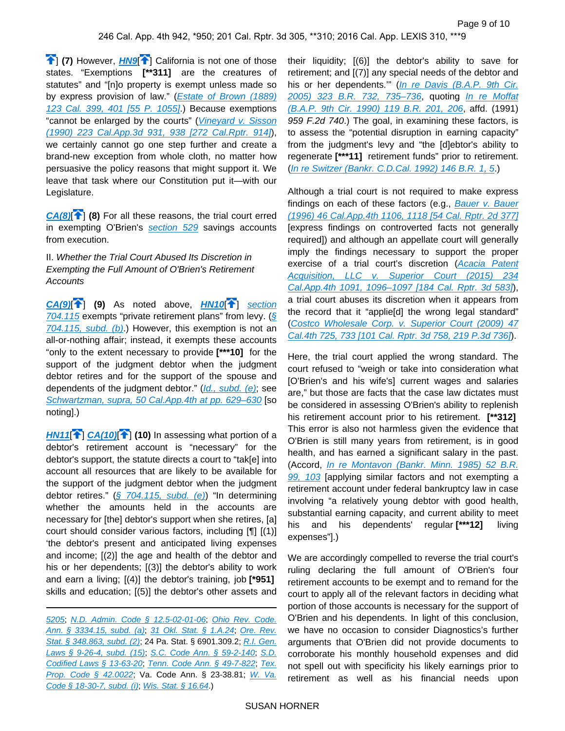<span id="page-9-2"></span>**1** (7) However, **[HN9](https://advance.lexis.com/api/document?collection=cases&id=urn:contentItem:5JKF-MYS1-F04B-N18P-00000-00&context=&link=clscc9)<sup>[1]</sup>** California is not one of those states. "Exemptions **[\*\*311]** are the creatures of statutes" and "[n]o property is exempt unless made so by express provision of law." (Estate of Brown (1889) [123 Cal. 399, 401 \[55 P. 1055\]](https://advance.lexis.com/api/document?collection=cases&id=urn:contentItem:3RRS-BGD0-003F-200C-00000-00&context=).) Because exemptions "cannot be enlarged by the courts" (Vineyard v. Sisson [\(1990\) 223 Cal.App.3d 931, 938 \[272 Cal.Rptr. 914\]](https://advance.lexis.com/api/document?collection=cases&id=urn:contentItem:3RX6-HKN0-003D-J20R-00000-00&context=)), we certainly cannot go one step further and create a brand-new exception from whole cloth, no matter how persuasive the policy reasons that might support it. We leave that task where our Constitution put it—with our Legislature.

<span id="page-9-3"></span>**[CA\(8\)](https://advance.lexis.com/api/document?collection=cases&id=urn:contentItem:5JKF-MYS1-F04B-N18P-00000-00&context=&link=CA120)<sup>[\[](#page-5-4)4]</sup>** (8) For all these reasons, the trial court erred in exempting O'Brien's [section 529](https://advance.lexis.com/api/document?collection=statutes-legislation&id=urn:contentItem:4YF7-GKT1-NRF4-43D0-00000-00&context=) savings accounts from execution.

II. Whether the Trial Court Abused Its Discretion in Exempting the Full Amount of O'Brien's Retirement **Accounts** 

<span id="page-9-4"></span>**[CA\(9\)](https://advance.lexis.com/api/document?collection=cases&id=urn:contentItem:5JKF-MYS1-F04B-N18P-00000-00&context=&link=CA115)**[\[](#page-6-0) ] **(9)** As noted above, **[HN10](https://advance.lexis.com/api/document?collection=cases&id=urn:contentItem:5JKF-MYS1-F04B-N18P-00000-00&context=&link=clscc10)**[ ] [section](https://advance.lexis.com/api/document?collection=statutes-legislation&id=urn:contentItem:5J6R-D7P1-66B9-80WW-00000-00&context=)  [704.115](https://advance.lexis.com/api/document?collection=statutes-legislation&id=urn:contentItem:5J6R-D7P1-66B9-80WW-00000-00&context=) exempts "private retirement plans" from levy. ( $\sqrt{\S}$ [704.115, subd. \(b\)](https://advance.lexis.com/api/document?collection=statutes-legislation&id=urn:contentItem:5J6R-D7P1-66B9-80WW-00000-00&context=).) However, this exemption is not an all-or-nothing affair; instead, it exempts these accounts "only to the extent necessary to provide **[\*\*\*10]** for the support of the judgment debtor when the judgment debtor retires and for the support of the spouse and dependents of the judgment debtor." ([Id., subd. \(e\)](https://advance.lexis.com/api/document?collection=statutes-legislation&id=urn:contentItem:5J6R-D7P1-66B9-80WW-00000-00&context=); see Schwartzman, supra, 50 Cal.App.4th at pp. 629-630 [so noting].)

<span id="page-9-5"></span><span id="page-9-1"></span>**[HN11](https://advance.lexis.com/api/document?collection=cases&id=urn:contentItem:5JKF-MYS1-F04B-N18P-00000-00&context=&link=clscc11)**[\[](#page-3-1) ] **[CA\(10\)](https://advance.lexis.com/api/document?collection=cases&id=urn:contentItem:5JKF-MYS1-F04B-N18P-00000-00&context=&link=CA118)**[ ] **(10)** In assessing what portion of a debtor's retirement account is "necessary" for the debtor's support, the statute directs a court to "tak[e] into account all resources that are likely to be available for the support of the judgment debtor when the judgment debtor retires." ( $\sqrt{5}$  704.115, subd. (e)) "In determining whether the amounts held in the accounts are necessary for [the] debtor's support when she retires, [a] court should consider various factors, including [¶] [(1)] 'the debtor's present and anticipated living expenses and income; [(2)] the age and health of the debtor and his or her dependents; [(3)] the debtor's ability to work and earn a living; [(4)] the debtor's training, job **[\*951]**  skills and education; [(5)] the debtor's other assets and

[5205](https://advance.lexis.com/api/document?collection=statutes-legislation&id=urn:contentItem:5CT3-08C1-6RDJ-84VD-00000-00&context=); [N.D. Admin. Code § 12.5-02-01-06](https://advance.lexis.com/api/document?collection=administrative-codes&id=urn:contentItem:5S1Y-FBP0-00D0-11X9-00000-00&context=); [Ohio Rev. Code.](https://advance.lexis.com/api/document?collection=statutes-legislation&id=urn:contentItem:5D47-8FP1-6VDH-R3YT-00000-00&context=)  [Ann. § 3334.15, subd. \(a\)](https://advance.lexis.com/api/document?collection=statutes-legislation&id=urn:contentItem:5D47-8FP1-6VDH-R3YT-00000-00&context=); [31 Okl. Stat. § 1.A.24](https://advance.lexis.com/api/document?collection=statutes-legislation&id=urn:contentItem:5BM0-GB01-648C-90X2-00000-00&context=); [Ore. Rev.](https://advance.lexis.com/api/document?collection=statutes-legislation&id=urn:contentItem:5J5H-F7B1-DXC8-001P-00000-00&context=)  [Stat. § 348.863, subd. \(2\)](https://advance.lexis.com/api/document?collection=statutes-legislation&id=urn:contentItem:5J5H-F7B1-DXC8-001P-00000-00&context=); 24 Pa. Stat. § 6901.309.2; R.I. Gen. [Laws § 9-26-4, subd. \(15\)](https://advance.lexis.com/api/document?collection=statutes-legislation&id=urn:contentItem:5R0X-KFY0-004G-410G-00000-00&context=), [S.C. Code Ann. § 59-2-140](https://advance.lexis.com/api/document?collection=statutes-legislation&id=urn:contentItem:5K1J-NRY1-DYB7-S2VJ-00000-00&context=), S.D. [Codified Laws § 13-63-20](https://advance.lexis.com/api/document?collection=statutes-legislation&id=urn:contentItem:5DKM-GT71-JF9M-91D6-00000-00&context=); [Tenn. Code Ann. § 49-7-822](https://advance.lexis.com/api/document?collection=statutes-legislation&id=urn:contentItem:4X55-GR00-R03P-24WW-00000-00&context=); [Tex.](https://advance.lexis.com/api/document?collection=statutes-legislation&id=urn:contentItem:5DDJ-C7H1-JW8X-V33W-00000-00&context=)  [Prop. Code § 42.0022](https://advance.lexis.com/api/document?collection=statutes-legislation&id=urn:contentItem:5DDJ-C7H1-JW8X-V33W-00000-00&context=); Va. Code Ann. § 23-38.81; W. Va. [Code § 18-30-7, subd. \(i\)](https://advance.lexis.com/api/document?collection=statutes-legislation&id=urn:contentItem:56W2-8W21-64R1-B08R-00000-00&context=), [Wis. Stat. § 16.64](https://advance.lexis.com/api/document?collection=statutes-legislation&id=urn:contentItem:8PVH-HFH2-8T6X-707D-00000-00&context=).)

their liquidity; [(6)] the debtor's ability to save for retirement; and [(7)] any special needs of the debtor and his or her dependents."" (In re Davis (B.A.P. 9th Cir. [2005\) 323 B.R. 732, 735–736](https://advance.lexis.com/api/document?collection=cases&id=urn:contentItem:4FY4-Y9H0-TVXP-231K-00000-00&context=), quoting [In re Moffat](https://advance.lexis.com/api/document?collection=cases&id=urn:contentItem:3S4V-JM20-0039-K15J-00000-00&context=)  [\(B.A.P. 9th Cir. 1990\) 119 B.R. 201, 206](https://advance.lexis.com/api/document?collection=cases&id=urn:contentItem:3S4V-JM20-0039-K15J-00000-00&context=), affd. (1991) 959 F.2d 740.) The goal, in examining these factors, is to assess the "potential disruption in earning capacity" from the judgment's levy and "the [d]ebtor's ability to regenerate **[\*\*\*11]** retirement funds" prior to retirement. ([In re Switzer \(Bankr. C.D.Cal. 1992\) 146 B.R. 1, 5](https://advance.lexis.com/api/document?collection=cases&id=urn:contentItem:3S4V-RVP0-003B-X3NP-00000-00&context=).)

Although a trial court is not required to make express findings on each of these factors (e.g., Bauer v. Bauer [\(1996\) 46 Cal.App.4th 1106, 1118 \[54 Cal. Rptr. 2d 377\]](https://advance.lexis.com/api/document?collection=cases&id=urn:contentItem:3RX6-F7P0-003D-J2Y4-00000-00&context=) [express findings on controverted facts not generally required]) and although an appellate court will generally imply the findings necessary to support the proper exercise of a trial court's discretion (Acacia Patent [Acquisition, LLC v. Superior Court \(2015\) 234](https://advance.lexis.com/api/document?collection=cases&id=urn:contentItem:5FD3-YH61-F04B-N067-00000-00&context=)  [Cal.App.4th 1091, 1096–1097 \[184 Cal. Rptr. 3d 583\]](https://advance.lexis.com/api/document?collection=cases&id=urn:contentItem:5FD3-YH61-F04B-N067-00000-00&context=)), a trial court abuses its discretion when it appears from the record that it "applie[d] the wrong legal standard" ([Costco Wholesale Corp. v. Superior Court \(2009\) 47](https://advance.lexis.com/api/document?collection=cases&id=urn:contentItem:7X6S-DHC0-YB0K-J0GX-00000-00&context=)  [Cal.4th 725, 733 \[101 Cal. Rptr. 3d 758, 219 P.3d 736\]](https://advance.lexis.com/api/document?collection=cases&id=urn:contentItem:7X6S-DHC0-YB0K-J0GX-00000-00&context=)).

<span id="page-9-0"></span>Here, the trial court applied the wrong standard. The court refused to "weigh or take into consideration what [O'Brien's and his wife's] current wages and salaries are," but those are facts that the case law dictates must be considered in assessing O'Brien's ability to replenish his retirement account prior to his retirement. **[\*\*312]**  This error is also not harmless given the evidence that O'Brien is still many years from retirement, is in good health, and has earned a significant salary in the past. (Accord, [In re Montavon \(Bankr. Minn. 1985\) 52 B.R.](https://advance.lexis.com/api/document?collection=cases&id=urn:contentItem:3S4V-NNF0-0039-K2M5-00000-00&context=)  [99, 103](https://advance.lexis.com/api/document?collection=cases&id=urn:contentItem:3S4V-NNF0-0039-K2M5-00000-00&context=) [applying similar factors and not exempting a retirement account under federal bankruptcy law in case involving "a relatively young debtor with good health, substantial earning capacity, and current ability to meet his and his dependents' regular **[\*\*\*12]** living expenses"].)

We are accordingly compelled to reverse the trial court's ruling declaring the full amount of O'Brien's four retirement accounts to be exempt and to remand for the court to apply all of the relevant factors in deciding what portion of those accounts is necessary for the support of O'Brien and his dependents. In light of this conclusion, we have no occasion to consider Diagnostics's further arguments that O'Brien did not provide documents to corroborate his monthly household expenses and did not spell out with specificity his likely earnings prior to retirement as well as his financial needs upon